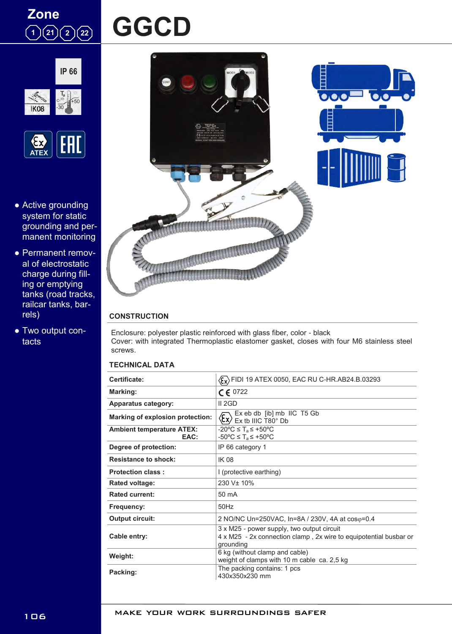

# **GGCD**





- Active grounding system for static grounding and permanent monitoring
- Permanent removal of electrostatic charge during filling or emptying tanks (road tracks, railcar tanks, barrels)
- Two output contacts



## **CONSTRUCTION**

Enclosure: polyester plastic reinforced with glass fiber, color - black Cover: with integrated Thermoplastic elastomer gasket, closes with four M6 stainless steel screws.

## **TECHNICAL DATA**

| Certificate:                             | $\langle \xi_x \rangle$ FIDI 19 ATEX 0050, EAC RU C-HR.AB24.B.03293                                                          |
|------------------------------------------|------------------------------------------------------------------------------------------------------------------------------|
| Marking:                                 | $C \in 0722$                                                                                                                 |
| <b>Apparatus category:</b>               | II 2GD                                                                                                                       |
| Marking of explosion protection:         | Ex eb db [ib] mb IIC T5 Gb<br>$\langle \epsilon_{\mathsf{x}} \rangle$<br>Ex tb IIIC T80° Db                                  |
| <b>Ambient temperature ATEX:</b><br>EAC: | $-20^{\circ}$ C $\leq$ T <sub>a</sub> $\leq$ +50°C<br>$-50^{\circ}$ C $\leq$ T <sub>a</sub> $\leq$ +50°C                     |
| Degree of protection:                    | IP 66 category 1                                                                                                             |
| <b>Resistance to shock:</b>              | <b>IK 08</b>                                                                                                                 |
| <b>Protection class:</b>                 | I (protective earthing)                                                                                                      |
| <b>Rated voltage:</b>                    | 230 V <sup>±</sup> 10%                                                                                                       |
| <b>Rated current:</b>                    | $50 \text{ mA}$                                                                                                              |
| <b>Frequency:</b>                        | $50$ Hz                                                                                                                      |
| Output circuit:                          | 2 NO/NC Un=250VAC, In=8A / 230V, 4A at $cos\varphi = 0.4$                                                                    |
| Cable entry:                             | 3 x M25 - power supply, two output circuit<br>4 x M25 - 2x connection clamp, 2x wire to equipotential busbar or<br>grounding |
| Weight:                                  | 6 kg (without clamp and cable)<br>weight of clamps with 10 m cable ca. 2,5 kg                                                |
| Packing:                                 | The packing contains: 1 pcs<br>430x350x230 mm                                                                                |